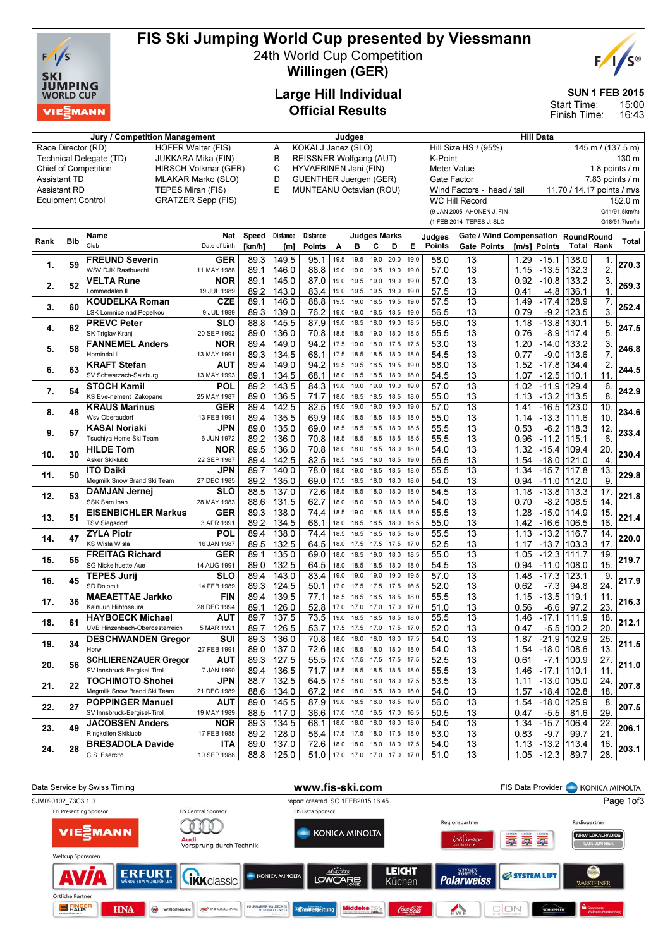

# FIS Ski Jumping World Cup presented by Viessmann

24th World Cup Competition Willingen (GER)



SUN 1 FEB 2015

15:00 16:43 Start Time: Finish Time:

### Large Hill Individual Official Results

| Jury / Competition Management                              |                          |                                |                           |        | Judges          |                                                                                     |           |                          |              |                | <b>Hill Data</b> |                                           |                                     |       |                       |                   |                  |               |
|------------------------------------------------------------|--------------------------|--------------------------------|---------------------------|--------|-----------------|-------------------------------------------------------------------------------------|-----------|--------------------------|--------------|----------------|------------------|-------------------------------------------|-------------------------------------|-------|-----------------------|-------------------|------------------|---------------|
| Race Director (RD)<br><b>HOFER Walter (FIS)</b>            |                          |                                |                           |        |                 | KOKALJ Janez (SLO)<br>Α                                                             |           |                          |              |                |                  | Hill Size HS / (95%)<br>145 m / (137.5 m) |                                     |       |                       |                   |                  |               |
| Technical Delegate (TD)<br>JUKKARA Mika (FIN)              |                          |                                |                           |        |                 | В<br>REISSNER Wolfgang (AUT)<br>K-Point                                             |           |                          |              |                |                  |                                           |                                     | 130 m |                       |                   |                  |               |
| <b>Chief of Competition</b><br><b>HIRSCH Volkmar (GER)</b> |                          |                                |                           |        |                 | C<br>HYVAERINEN Jani (FIN)<br><b>Meter Value</b><br>1.8 points $\sqrt{}$ m<br>D     |           |                          |              |                |                  |                                           |                                     |       |                       |                   |                  |               |
| <b>Assistant TD</b><br>MLAKAR Marko (SLO)                  |                          |                                |                           |        |                 | <b>GUENTHER Juergen (GER)</b><br>Gate Factor<br>$7.83$ points $/ m$                 |           |                          |              |                |                  |                                           |                                     |       |                       |                   |                  |               |
| <b>Assistant RD</b><br>TEPES Miran (FIS)                   |                          |                                |                           |        |                 | MUNTEANU Octavian (ROU)<br>Wind Factors - head / tail<br>11.70 / 14.17 points / m/s |           |                          |              |                |                  |                                           |                                     |       |                       |                   |                  |               |
|                                                            | <b>Equipment Control</b> |                                | <b>GRATZER Sepp (FIS)</b> |        |                 |                                                                                     |           |                          |              |                |                  |                                           | <b>WC Hill Record</b>               |       |                       |                   |                  | 152.0 m       |
|                                                            |                          |                                |                           |        |                 |                                                                                     |           |                          |              |                |                  |                                           | (9 JAN 2005 AHONEN J. FIN           |       |                       |                   |                  | G11/91.5km/h) |
|                                                            |                          |                                |                           |        |                 |                                                                                     |           |                          |              |                |                  |                                           | (1 FEB 2014 TEPES J. SLO            |       |                       |                   |                  | G18/91.7km/h) |
|                                                            |                          |                                |                           |        |                 |                                                                                     |           |                          |              |                |                  |                                           |                                     |       |                       |                   |                  |               |
| Rank                                                       | <b>Bib</b>               | Name                           | Nat                       | Speed  | <b>Distance</b> | Distance                                                                            |           |                          | Judges Marks |                |                  | Judges                                    | Gate / Wind Compensation RoundRound |       |                       |                   |                  | Total         |
|                                                            |                          | Club                           | Date of birth             | [km/h] | [m]             | <b>Points</b>                                                                       | Α         | в                        | с            | D              | Е                | Points                                    | Gate Points                         |       | Im/s1 Points          | <b>Total Rank</b> |                  |               |
| 1.                                                         | 59                       | <b>FREUND Severin</b>          | <b>GER</b>                | 89.3   | 149.5           | 95.1                                                                                | 19.5      | 19.5                     | 19.0         | 20.0           | 19.0             | 58.0                                      | 13                                  | 1.29  | $-15.1$               | 138.0             | 1.               | 270.3         |
|                                                            |                          | WSV DJK Rastbuechl             | 11 MAY 1988               | 89.1   | 146.0           | 88.8                                                                                | 19.0      | 19.0                     | 19.5         | 19.0           | 19.0             | 57.0                                      | 13                                  | 1.15  | $-13.5$ 132.3         |                   | 2.               |               |
| 2.                                                         | 52                       | <b>VELTA Rune</b>              | <b>NOR</b>                | 89.1   | 145.0           | 87.0                                                                                | 19.0      | 19.5                     | 19.0         | 19.0           | 19.0             | 57.0                                      | $\overline{13}$                     | 0.92  | $-10.8$               | 133.2             | 3.               | 269.3         |
|                                                            |                          | Lommedalen II                  | 19 JUL 1989               | 89.2   | 143.0           | 83.4                                                                                | 19.0      | 19.5                     | 19.5 19.0    |                | 19.0             | 57.5                                      | 13                                  | 0.41  |                       | -4.8 136.1        | $\mathbf 1$      |               |
|                                                            |                          | <b>KOUDELKA Roman</b>          | <b>CZE</b>                | 89.1   | 146.0           | 88.8                                                                                | 19.5      | 19.0                     | 18.5         | 19.5           | 19.0             | 57.5                                      | $\overline{13}$                     | 1.49  | $-17.4$               | 128.9             | $\overline{7}$ . |               |
| 3.                                                         | 60                       | LSK Lomnice nad Popelkou       | 9 JUL 1989                | 89.3   | 139.0           | 76.2                                                                                | 19.0      | 19.0                     | 18.5         | 18.5           | 19.0             | 56.5                                      | 13                                  | 0.79  | $-9.2$                | 123.5             | 3.               | 252.4         |
|                                                            |                          | <b>PREVC Peter</b>             | <b>SLO</b>                | 88.8   | 145.5           | 87.9                                                                                | 19.0      | 18.5                     | 18.0         | 19.0           | 18.5             | 56.0                                      | $\overline{13}$                     | 1.18  | $-13.8$               | 130.1             | 5.               |               |
| 4.                                                         | 62                       | SK Triglav Kranj               | 20 SEP 1992               | 89.0   | 136.0           | 70.8                                                                                | 18.5 18.5 |                          | 19.0         | 18.0           | 18.5             | 55.5                                      | 13                                  | 0.76  |                       | $-8.9$ 117.4      | 5.               | 247.5         |
|                                                            |                          | <b>FANNEMEL Anders</b>         | <b>NOR</b>                | 89.4   | 149.0           | 94.2                                                                                | 17.5      | 19.0                     | 18.0         | 17.5           | 17.5             | 53.0                                      | 13                                  | 1.20  | $-14.0$               | 133.2             | 3.               |               |
| 5.                                                         | 58                       | Hornindal II                   | 13 MAY 1991               | 89.3   | 134.5           | 68.1                                                                                | 17.5      | 18.5                     | 18.5         | 18.0           | 18.0             | 54.5                                      | 13                                  | 0.77  | $-9.0$                | 113.6             | $\overline{7}$   | 246.8         |
|                                                            |                          | <b>KRAFT Stefan</b>            | AUT                       | 89.4   | 149.0           | 94.2                                                                                | 19.5      | 19.5                     | 18.5         | 19.5           | 19.0             | 58.0                                      | 13                                  | 1.52  | $-17.8$               | 134.4             | 2.               |               |
| 6.                                                         | 63                       | SV Schwarzach-Salzburg         | 13 MAY 1993               | 89.1   | 134.5           | 68.1                                                                                | 18.0      | 18.5                     | 18.5         | 18.0           | 18.0             | 54.5                                      | 13                                  | 1.07  | -12.5  110.1          |                   | 11.              | 244.5         |
|                                                            |                          |                                | POL                       |        |                 |                                                                                     | 19.0      | 19.0                     | 19.0         | 19.0           | 19.0             | 57.0                                      | 13                                  |       | $-11.9$               |                   | 6.               |               |
| 7.                                                         | 54                       | <b>STOCH Kamil</b>             |                           | 89.2   | 143.5           | 84.3                                                                                |           |                          |              |                |                  |                                           |                                     | 1.02  |                       | 129.4             |                  | 242.9         |
|                                                            |                          | KS Eve-nement Zakopane         | 25 MAY 1987               | 89.0   | 136.5           | 71.7                                                                                | 18.0      | 18.5                     | 18.5         | 18.5           | 18.0             | 55.0                                      | 13                                  | 1.13  | $-13.2$ 113.5         |                   | 8.               |               |
| 8.                                                         | 48                       | <b>KRAUS Marinus</b>           | GER                       | 89.4   | 142.5           | 82.5                                                                                | 19.0      | 19.0                     | 19.0         | 19.0           | 19.0             | 57.0                                      | 13                                  | 1.41  | $-16.5$ 123.0         |                   | 10.              | 234.6         |
|                                                            |                          | Wsv Oberaudorf                 | 13 FEB 1991               | 89.4   | 135.5           | 69.9                                                                                | 18.0      | 18.5                     | 18.5         | 18.5           | 18.0             | 55.0                                      | 13                                  |       | 1.14 -13.3 111.6      |                   | 10.              |               |
| 9.                                                         | 57                       | <b>KASAI Noriaki</b>           | JPN                       | 89.0   | 135.0           | 69.0                                                                                | 18.5      | 18.5                     | 18.5         | 18.0           | 18.5             | 55.5                                      | 13                                  | 0.53  |                       | $-6.2$ 118.3      | 12.              | 233.4         |
|                                                            |                          | Tsuchiya Home Ski Team         | 6 JUN 1972                | 89.2   | 136.0           | 70.8                                                                                | 18.5 18.5 |                          | 18.5         | 18.5           | 18.5             | 55.5                                      | 13                                  | 0.96  | -11.2  115.1          |                   | 6.               |               |
| 10.                                                        | 30                       | <b>HILDE Tom</b>               | <b>NOR</b>                | 89.5   | 136.0           | 70.8                                                                                | 18.0      | 18.0                     | 18.5         | 18.0           | 18.0             | 54.0                                      | $\overline{13}$                     | 1.32  | $-15.4$ 109.4         |                   | 20.              | 230.4         |
|                                                            |                          | Asker Skiklubb                 | 22 SEP 1987               | 89.4   | 142.5           | 82.5                                                                                | 18.5 19.5 |                          | 19.0         | 18.5           | 19.0             | 56.5                                      | 13                                  |       | 1.54 -18.0 121.0      |                   | 4.               |               |
| 11.                                                        | 50                       | <b>ITO Daiki</b>               | JPN                       | 89.7   | 140.0           | 78.0                                                                                | 18.5      | 19.0                     | 18.5         | 18.5           | 18.0             | 55.5                                      | 13                                  | 1.34  | $-15.7$ 117.8         |                   | 13.              | 229.8         |
|                                                            |                          | Megmilk Snow Brand Ski Team    | 27 DEC 1985               | 89.2   | 135.0           | 69.0                                                                                | 17.5 18.5 |                          | 18.0 18.0    |                | 18.0             | 54.0                                      | 13                                  | 0.94  | -11.0 112.0           |                   | 9.               |               |
| 12.                                                        | 53                       | <b>DAMJAN Jernej</b>           | SLO                       | 88.5   | 137.0           | 72.6                                                                                | 18.5      | 18.5                     | 18.0         | 18.0           | 18.0             | 54.5                                      | 13                                  | 1.18  | $-13.8$ 113.3         |                   | 17.              | 221.8         |
|                                                            |                          | SSK Sam Ihan                   | 28 MAY 1983               | 88.6   | 131.5           | 62.7                                                                                | 18.0 18.0 |                          | 18.0         | 18.0           | 18.0             | 54.0                                      | 13                                  | 0.70  |                       | $-8.2$ 108.5      | 14               |               |
| 13.                                                        | 51                       | <b>EISENBICHLER Markus</b>     | GER                       | 89.3   | 138.0           | 74.4                                                                                | 18.5      | 19.0                     | 18.5         | 18.5           | 18.0             | $\overline{55.5}$                         | $\overline{13}$                     | 1.28  | $-15.0$ 114.9         |                   | 15.              | 221.4         |
|                                                            |                          | <b>TSV Siegsdorf</b>           | 3 APR 1991                | 89.2   | 134.5           | 68.1                                                                                | 18.0      | 18.5                     | 18.5         | 18.0           | 18.5             | 55.0                                      | 13                                  | 1.42  | -16.6 106.5           |                   | 16               |               |
| 14.                                                        | 47                       | <b>ZYLA Piotr</b>              | POL                       | 89.4   | 138.0           | 74.4                                                                                | 18.5      | 18.5                     | 18.5         | 18.5           | 18.0             | 55.5                                      | 13                                  | 1.13  | $-13.2$ 116.7         |                   | 14.              | 220.0         |
|                                                            |                          | <b>KS Wisla Wisla</b>          | 16 JAN 1987               | 89.5   | 132.5           | 64.5                                                                                | 18.0      | 17.5                     | 17.5         | 17.5           | 17.0             | 52.5                                      | 13                                  | 1.17  | -13.7 103.3           |                   | 17.              |               |
| 15.                                                        | 55                       | <b>FREITAG Richard</b>         | GER                       | 89.1   | 135.0           | 69.0                                                                                | 18.0      | 18.5                     | 19.0         | 18.0           | 18.5             | 55.0                                      | 13                                  | 1.05  | $-12.3$               | 111.7             | 19.              | 219.7         |
|                                                            |                          | SG Nickelhuette Aue            | 14 AUG 1991               | 89.0   | 132.5           | 64.5                                                                                | 18.0      | 18.5                     | 18.5         | 18.0           | 18.0             | 54.5                                      | 13                                  | 0.94  | $-11.0$               | 1108.0            | 15               |               |
| 16.                                                        | 45                       | <b>TEPES Jurij</b>             | SLO                       | 89.4   | 143.0           | 83.4                                                                                | 19.0      | 19.0                     | 19.0         | 19.0           | 19.5             | 57.0                                      | $\overline{13}$                     | 1.48  | $-17.3$               | 123.1             | 9.               | 217.9         |
|                                                            |                          | SD Dolomiti                    | 14 FEB 1989               | 89.3   | 124.5           | 50.1                                                                                | 17.0      | 17.5                     | 17.5         | 17.5           | 16.5             | 52.0                                      | 13                                  | 0.62  | $-7.3$                | 94.8              | 24.              |               |
|                                                            |                          | <b>MAEAETTAE Jarkko</b>        | <b>FIN</b>                | 89.4   | 139.5           | 77.1                                                                                | 18.5      | 18.5                     | 18.5         | 18.5           | 18.0             | 55.5                                      | $\overline{13}$                     | 1.15  | $-13.5$               | 119.1             | 11.              |               |
| 17.                                                        | 36                       | Kainuun Hiihtoseura            | 28 DEC 1994               | 89.1   | 126.0           | 52.8                                                                                | 17.0 17.0 |                          | 17.0 17.0    |                | 17.0             | 51.0                                      | 13                                  | 0.56  | $-6.6$                | 97.2              | 23.              | 216.3         |
|                                                            |                          | <b>HAYBOECK Michael</b>        | <b>AUT</b>                | 89.7   | 137.5           | 73.5                                                                                | 19.0      | 18.5                     | 18.5         | 18.5           | 18.0             | 55.5                                      | 13                                  | 1.46  | $-17.1$               | 111.9             | 18.              |               |
| 18.                                                        | 61                       | UVB Hinzenbach-Oberoesterreich | 5 MAR 1991                | 89.7   | 126.5           | 53.7                                                                                |           | 17.5 17.5                |              | 17.0 17.5 17.0 |                  | 52.0                                      | 13                                  | 0.47  |                       | $-5.5$ 100.2      | 20.              | 212.1         |
|                                                            |                          | <b>DESCHWANDEN Gregor</b>      | $\overline{\text{SUI}}$   | 89.3   | 136.0           | 70.8                                                                                |           | 18.0 18.0 18.0 18.0 17.5 |              |                |                  | 54.0                                      | $\overline{13}$                     |       | $1.87 - 21.9$ 102.9   |                   | 25.              |               |
| 19.                                                        | 34                       | Horw                           | 27 FEB 1991               | 89.0   | 137.0           | 72.6                                                                                |           | 18.0 18.5 18.0 18.0 18.0 |              |                |                  | 54.0                                      | 13                                  |       | 1.54 -18.0 108.6      |                   | 13.              | 211.5         |
|                                                            |                          | <b>SCHLIERENZAUER Gregor</b>   | <b>AUT</b>                | 89.3   | 127.5           | 55.5                                                                                |           | 17.0 17.5 17.5 17.5 17.5 |              |                |                  | 52.5                                      | 13                                  | 0.61  |                       | $-7.1$   100.9    | 27.              |               |
| 20.                                                        | 56                       | SV Innsbruck-Bergisel-Tirol    | 7 JAN 1990                | 89.4   | 136.5           | 71.7                                                                                |           | 18.5 18.5 18.5 18.5 18.0 |              |                |                  | 55.5                                      | 13                                  |       | 1.46 -17.1 110.1      |                   | 11.              | 211.0         |
|                                                            |                          | <b>TOCHIMOTO Shohei</b>        | JPN                       | 88.7   | 132.5           | 64.5                                                                                |           | 17.5 18.0 18.0 18.0 17.5 |              |                |                  | 53.5                                      | 13                                  |       | $1.11 - 13.0   105.0$ |                   | 24.              |               |
| 21.                                                        | 22                       | Megmilk Snow Brand Ski Team    | 21 DEC 1989               | 88.6   | 134.0           | 67.2                                                                                |           | 18.0 18.0 18.5 18.0 18.0 |              |                |                  | 54.0                                      | 13                                  |       | 1.57 -18.4 102.8      |                   | 18.              | 207.8         |
|                                                            |                          | <b>POPPINGER Manuel</b>        | <b>AUT</b>                | 89.0   |                 |                                                                                     |           | 19.0 18.5 18.0 18.5 19.0 |              |                |                  | 56.0                                      | 13                                  |       | 1.54 -18.0 125.9      |                   |                  |               |
| 22.                                                        | 27                       |                                |                           |        | 145.5           | 87.9                                                                                |           |                          |              |                |                  |                                           |                                     |       |                       |                   | 8.<br>29.        | 207.5         |
|                                                            |                          | SV Innsbruck-Bergisel-Tirol    | 19 MAY 1989               | 88.5   | 117.0           | 36.6                                                                                |           | 17.0 17.0 16.5 17.0 16.5 |              |                |                  | 50.5                                      | 13                                  | 0.47  | $-5.5$                | 81.6              |                  |               |
| 23.                                                        | 49                       | <b>JACOBSEN Anders</b>         | <b>NOR</b>                | 89.3   | 134.5           | 68.1                                                                                |           | 18.0 18.0 18.0 18.0      |              |                | 18.0             | 54.0                                      | 13                                  |       | 1.34 -15.7 106.4      |                   | 22.              | 206.1         |
|                                                            |                          | Ringkollen Skiklubb            | 17 FEB 1985               | 89.2   | 128.0           | 56.4                                                                                |           | 17.5 17.5 18.0 17.5 18.0 |              |                |                  | 53.0                                      | 13                                  | 0.83  | $-9.7$                | 99.7              | 21.              |               |
| 24.                                                        | 28                       | <b>BRESADOLA Davide</b>        | ITA                       | 89.0   | 137.0           | 72.6                                                                                |           | 18.0 18.0 18.0 18.0 17.5 |              |                |                  | 54.0                                      | 13                                  |       | $1.13 - 13.2   113.4$ |                   | 16.              | 203.1         |
|                                                            |                          | C.S. Esercito                  | 10 SEP 1988               | 88.8   | 125.0           | 51.0 17.0 17.0 17.0 17.0 17.0                                                       |           |                          |              |                |                  | 51.0                                      | 13                                  |       | 1.05 -12.3 89.7       |                   | 28.              |               |

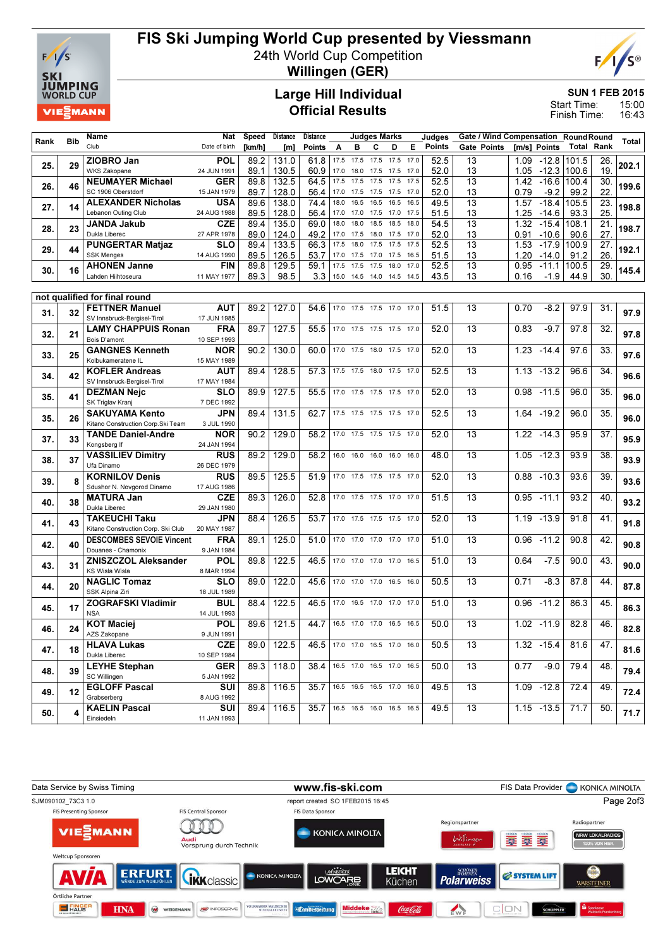

# FIS Ski Jumping World Cup presented by Viessmann

24th World Cup Competition



Willingen (GER)

#### Large Hill Individual Official Results

SUN 1 FEB 2015

15:00 16:43 Start Time: Finish Time:

|      |            | Name                                                 | Nat                       | Speed        | <b>Distance</b> | Distance     |              |              | Judges Marks             |                        |      | Judges        | Gate / Wind Compensation RoundRound |              |                    |               |            |       |
|------|------------|------------------------------------------------------|---------------------------|--------------|-----------------|--------------|--------------|--------------|--------------------------|------------------------|------|---------------|-------------------------------------|--------------|--------------------|---------------|------------|-------|
| Rank | <b>Bib</b> | Club                                                 | Date of birth             | [km/h]       | [m]             | Points       | Α            | в            | С                        | D                      | Е    | <b>Points</b> | <b>Gate Points</b>                  |              | [m/s] Points       |               | Total Rank | Total |
|      |            | ZIOBRO Jan                                           | <b>POL</b>                | 89.2         | 131.0           | 61.8         | 17.5         | 17.5         | 17.5                     | 17.5 17.0              |      | 52.5          | 13                                  |              | 1.09 -12.8 101.5   |               | 26.        |       |
| 25.  | 29         | <b>WKS Zakopane</b>                                  | 24 JUN 1991               | 89.1         | 130.5           | 60.9         | 17.0         | 18.0         | 17.5                     | 17.5 17.0              |      | 52.0          | 13                                  | 1.05         | $-12.3$            | 100.6         | 19.        | 202.1 |
| 26.  | 46         | <b>NEUMAYER Michael</b>                              | <b>GER</b>                | 89.8         | 132.5           | 64.5         | 17.5         | 17.5         | 17.5                     | 17.5 17.5              |      | 52.5          | 13                                  | 1.42         | $-16.6$            | 100.4         | 30.        | 199.6 |
|      |            | SC 1906 Oberstdorf                                   | 15 JAN 1979               | 89.7         | 128.0           | 56.4         | 17.0         | 17.5         | 17.5                     | 17.5 17.0              |      | 52.0          | 13                                  | 0.79         | $-9.2$             | 99.2          | 22.        |       |
| 27.  | 14         | <b>ALEXANDER Nicholas</b>                            | <b>USA</b>                | 89.6         | 138.0           | 74.4         | 18.0         | 16.5         | 16.5                     | 16.5 16.5              |      | 49.5          | 13                                  | 1.57         | $-18.4$            | 105.5         | 23.        | 198.8 |
|      |            | Lebanon Outing Club                                  | 24 AUG 1988               | 89.5         | 128.0           | 56.4         | 17.0         | 17.0         | 17.5                     | 17.0 17.5              |      | 51.5          | 13                                  | 1.25         | $-14.6$            | 93.3          | 25.        |       |
| 28.  | 23         | <b>JANDA Jakub</b>                                   | <b>CZE</b>                | 89.4         | 135.0           | 69.0         | 18.0         | 18.0         | 18.5                     | 18.5 18.0              |      | 54.5          | $\overline{13}$                     | 1.32         | $-15.4$            | 108.1         | 21.        | 198.7 |
|      |            | Dukla Liberec                                        | 27 APR 1978               | 89.0         | 124.0           | 49.2         | 17.0         | 17.5         | 18.0                     | 17.5 17.0              |      | 52.0          | 13                                  | 0.91         | $-10.6$            | 90.6          | 27.        |       |
| 29.  | 44         | <b>PUNGERTAR Matjaz</b><br><b>SSK Menges</b>         | <b>SLO</b><br>14 AUG 1990 | 89.4         | 133.5           | 66.3<br>53.7 | 17.5<br>17.0 | 18.0<br>17.5 | 17.5<br>17.0             | 17.5 17.5<br>17.5 16.5 |      | 52.5          | $\overline{13}$<br>13               | 1.53         | $-17.9$            | 100.9         | 27.<br>26. | 192.1 |
|      |            | <b>AHONEN Janne</b>                                  | <b>FIN</b>                | 89.5<br>89.8 | 126.5<br>129.5  | 59.1         | 17.5         | 17.5         | 17.5                     | 18.0                   | 17.0 | 51.5<br>52.5  | $\overline{13}$                     | 1.20<br>0.95 | $-14.0$<br>$-11.1$ | 91.2<br>100.5 | 29.        |       |
| 30.  | 16         | Lahden Hiihtoseura                                   | 11 MAY 1977               | 89.3         | 98.5            | 3.3          |              |              | 15.0 14.5 14.0 14.5 14.5 |                        |      | 43.5          | 13                                  | 0.16         | $-1.9$             | 44.9          | 30.        | 145.4 |
|      |            |                                                      |                           |              |                 |              |              |              |                          |                        |      |               |                                     |              |                    |               |            |       |
|      |            | not qualified for final round                        |                           |              |                 |              |              |              |                          |                        |      |               |                                     |              |                    |               |            |       |
| 31.  | 32         | <b>FETTNER Manuel</b>                                | <b>AUT</b>                | 89.2         | 127.0           | 54.6         | 17.0         |              | 17.5 17.5 17.0 17.0      |                        |      | 51.5          | 13                                  | 0.70         | $-8.2$             | 97.9          | 31.        | 97.9  |
|      |            | SV Innsbruck-Bergisel-Tirol                          | 17 JUN 1985               |              |                 |              |              |              |                          |                        |      |               |                                     |              |                    |               |            |       |
| 32.  | 21         | <b>LAMY CHAPPUIS Ronan</b>                           | <b>FRA</b>                | 89.7         | 127.5           | 55.5         |              |              | 17.0 17.5 17.5 17.5 17.0 |                        |      | 52.0          | $\overline{13}$                     | 0.83         | $-9.7$             | 97.8          | 32.        | 97.8  |
|      |            | Bois D'amont                                         | 10 SEP 1993               |              |                 |              |              |              |                          |                        |      |               |                                     |              |                    |               |            |       |
| 33.  | 25         | <b>GANGNES Kenneth</b><br>Kolbukameratene IL         | <b>NOR</b>                | 90.2         | 130.0           | 60.0         |              |              | 17.0 17.5 18.0 17.5 17.0 |                        |      | 52.0          | 13                                  | 1.23         | $-14.4$            | 97.6          | 33.        | 97.6  |
|      |            | <b>KOFLER Andreas</b>                                | 15 MAY 1989<br>AUT        | 89.4         | 128.5           | 57.3         |              |              | 17.5 17.5 18.0 17.5 17.0 |                        |      | 52.5          | 13                                  | 1.13         | $-13.2$            | 96.6          | 34.        |       |
| 34.  | 42         | SV Innsbruck-Bergisel-Tirol                          | 17 MAY 1984               |              |                 |              |              |              |                          |                        |      |               |                                     |              |                    |               |            | 96.6  |
|      |            | <b>DEZMAN Neic</b>                                   | SLO                       | 89.9         | 127.5           | 55.5         |              |              | 17.0 17.5 17.5 17.5 17.0 |                        |      | 52.0          | 13                                  | 0.98         | $-11.5$            | 96.0          | 35.        |       |
| 35.  | 41         | SK Triglav Kranj                                     | 7 DEC 1992                |              |                 |              |              |              |                          |                        |      |               |                                     |              |                    |               |            | 96.0  |
|      |            | <b>SAKUYAMA Kento</b>                                | JPN                       | 89.4         | 131.5           | 62.7         |              |              | 17.5 17.5 17.5 17.5 17.0 |                        |      | 52.5          | $\overline{13}$                     | 1.64         | $-19.2$            | 96.0          | 35.        |       |
| 35.  | 26         | Kitano Construction Corp.Ski Team                    | 3 JUL 1990                |              |                 |              |              |              |                          |                        |      |               |                                     |              |                    |               |            | 96.0  |
| 37.  | 33         | <b>TANDE Daniel-Andre</b>                            | <b>NOR</b>                | 90.2         | 129.0           | 58.2         |              |              | 17.0 17.5 17.5 17.5 17.0 |                        |      | 52.0          | 13                                  | 1.22         | $-14.3$            | 95.9          | 37.        | 95.9  |
|      |            | Kongsberg If                                         | 24 JAN 1994               |              |                 |              |              |              |                          |                        |      |               |                                     |              |                    |               |            |       |
| 38.  | 37         | <b>VASSILIEV Dimitry</b>                             | <b>RUS</b>                | 89.2         | 129.0           | 58.2         | 16.0         | 16.0         | 16.0                     | 16.0 16.0              |      | 48.0          | 13                                  | 1.05         | $-12.3$            | 93.9          | 38.        | 93.9  |
|      |            | Ufa Dinamo                                           | 26 DEC 1979<br><b>RUS</b> | 89.5         | 125.5           |              | 17.0         | 17.5         |                          | 17.5 17.5 17.0         |      | 52.0          | 13                                  | 0.88         | $-10.3$            |               | 39.        |       |
| 39.  | 8          | <b>KORNILOV Denis</b><br>Sdushor N. Novgorod Dinamo  | 17 AUG 1986               |              |                 | 51.9         |              |              |                          |                        |      |               |                                     |              |                    | 93.6          |            | 93.6  |
|      |            | <b>MATURA Jan</b>                                    | <b>CZE</b>                | 89.3         | 126.0           | 52.8         |              |              | 17.0 17.5 17.5 17.0 17.0 |                        |      | 51.5          | 13                                  | 0.95         | $-11.1$            | 93.2          | 40.        |       |
| 40.  | 38         | Dukla Liberec                                        | 29 JAN 1980               |              |                 |              |              |              |                          |                        |      |               |                                     |              |                    |               |            | 93.2  |
| 41.  | 43         | <b>TAKEUCHI Taku</b>                                 | <b>JPN</b>                | 88.4         | 126.5           | 53.7         |              |              | 17.0 17.5 17.5 17.5 17.0 |                        |      | 52.0          | 13                                  | 1.19         | $-13.9$            | 91.8          | 41.        | 91.8  |
|      |            | Kitano Construction Corp. Ski Club                   | 20 MAY 1987               |              |                 |              |              |              |                          |                        |      |               |                                     |              |                    |               |            |       |
| 42.  | 40         | <b>DESCOMBES SEVOIE Vincent</b>                      | <b>FRA</b>                | 89.1         | 125.0           | 51.0         |              |              | 17.0 17.0 17.0 17.0 17.0 |                        |      | 51.0          | 13                                  | 0.96         | $-11.2$            | 90.8          | 42.        | 90.8  |
|      |            | Douanes - Chamonix                                   | 9 JAN 1984                |              |                 |              |              |              |                          |                        |      |               |                                     |              |                    |               |            |       |
| 43.  | 31         | <b>ZNISZCZOL Aleksander</b><br><b>KS Wisla Wisla</b> | <b>POL</b>                | 89.8         | 122.5           | 46.5         |              |              | 17.0 17.0 17.0 17.0 16.5 |                        |      | 51.0          | 13                                  | 0.64         | $-7.5$             | 90.0          | 43.        | 90.0  |
|      |            | <b>NAGLIC Tomaz</b>                                  | 8 MAR 1994<br><b>SLO</b>  | 89.0         | 122.0           | 45.6         |              |              | 17.0 17.0 17.0 16.5 16.0 |                        |      | 50.5          | 13                                  | 0.71         | $-8.3$             | 87.8          | 44.        |       |
| 44.  | 20         | SSK Alpina Ziri                                      | 18 JUL 1989               |              |                 |              |              |              |                          |                        |      |               |                                     |              |                    |               |            | 87.8  |
|      |            | <b>ZOGRAFSKI Vladimir</b>                            | BUL                       | 88.4         | 122.5           | 46.5         |              |              | 17.0 16.5 17.0 17.0 17.0 |                        |      | 51.0          | 13                                  | 0.96         | $-11.2$            | 86.3          | 45.        |       |
| 45.  | 17         | <b>NSA</b>                                           | 14 JUL 1993               |              |                 |              |              |              |                          |                        |      |               |                                     |              |                    |               |            | 86.3  |
| 46.  | 24         | <b>KOT Maciej</b>                                    | <b>POL</b>                | 89.6         | 121.5           | 44.7         |              |              | 16.5 17.0 17.0 16.5 16.5 |                        |      | 50.0          | 13                                  |              | 1.02 -11.9         | 82.8          | 46.        | 82.8  |
|      |            | AZS Zakopane                                         | 9 JUN 1991                |              |                 |              |              |              |                          |                        |      |               |                                     |              |                    |               |            |       |
| 47.  | 18         | <b>HLAVA Lukas</b>                                   | <b>CZE</b>                | 89.0         | 122.5           | 46.5         |              |              | 17.0 17.0 16.5 17.0 16.0 |                        |      | 50.5          | 13                                  |              | $1.32 - 15.4$      | 81.6          | 47.        | 81.6  |
|      |            | Dukla Liberec                                        | 10 SEP 1984               |              |                 |              |              |              |                          |                        |      |               |                                     |              |                    |               |            |       |
| 48.  | 39         | <b>LEYHE Stephan</b>                                 | <b>GER</b><br>5 JAN 1992  |              | 89.3   118.0    | 38.4         |              |              | 16.5 17.0 16.5 17.0 16.5 |                        |      | 50.0          | 13                                  | 0.77         | $-9.0$             | 79.4          | 48.        | 79.4  |
|      |            | SC Willingen<br><b>EGLOFF Pascal</b>                 | SUI                       | 89.8         | 116.5           | 35.7         |              |              | 16.5 16.5 16.5 17.0 16.0 |                        |      | 49.5          | 13                                  |              | $1.09 - 12.8$      | 72.4          | 49.        |       |
| 49.  | 12         | Grabserberg                                          | 8 AUG 1992                |              |                 |              |              |              |                          |                        |      |               |                                     |              |                    |               |            | 72.4  |
|      |            | <b>KAELIN Pascal</b>                                 | SUI                       | 89.4         | 116.5           | 35.7         |              |              | 16.5 16.5 16.0 16.5 16.5 |                        |      | 49.5          | 13                                  |              | $1.15 - 13.5$      | 71.7          | 50.        |       |
| 50.  | 4          | Einsiedeln                                           | 11 JAN 1993               |              |                 |              |              |              |                          |                        |      |               |                                     |              |                    |               |            | 71.7  |
|      |            |                                                      |                           |              |                 |              |              |              |                          |                        |      |               |                                     |              |                    |               |            |       |